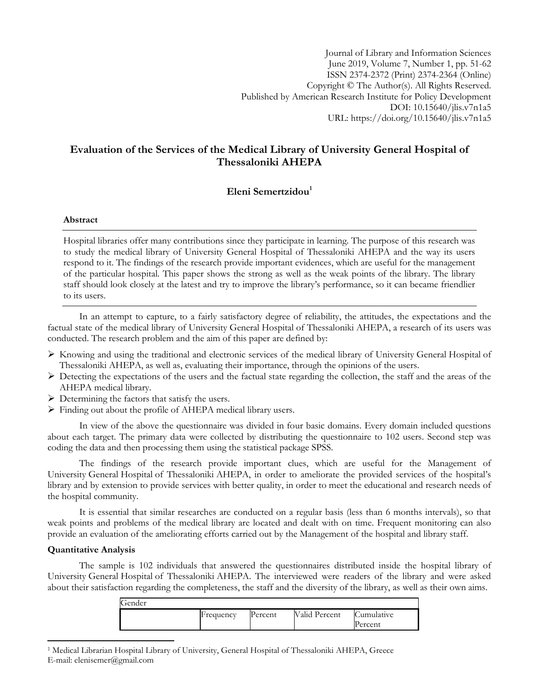Journal of Library and Information Sciences June 2019, Volume 7, Number 1, pp. 51-62 ISSN 2374-2372 (Print) 2374-2364 (Online) Copyright © The Author(s). All Rights Reserved. Published by American Research Institute for Policy Development DOI: 10.15640/jlis.v7n1a5 URL: https://doi.org/10.15640/jlis.v7n1a5

# **Evaluation of the Services of the Medical Library of University General Hospital of Thessaloniki AHEPA**

## **Eleni Semertzidou<sup>1</sup>**

### **Abstract**

Hospital libraries offer many contributions since they participate in learning. The purpose of this research was to study the medical library of University General Hospital of Thessaloniki AHEPA and the way its users respond to it. The findings of the research provide important evidences, which are useful for the management of the particular hospital. This paper shows the strong as well as the weak points of the library. The library staff should look closely at the latest and try to improve the library's performance, so it can became friendlier to its users.

In an attempt to capture, to a fairly satisfactory degree of reliability, the attitudes, the expectations and the factual state of the medical library of University General Hospital of Thessaloniki AHEPA, a research of its users was conducted. The research problem and the aim of this paper are defined by:

- $\triangleright$  Knowing and using the traditional and electronic services of the medical library of University General Hospital of Thessaloniki AHEPA, as well as, evaluating their importance, through the opinions of the users.
- $\triangleright$  Detecting the expectations of the users and the factual state regarding the collection, the staff and the areas of the AHEPA medical library.
- $\triangleright$  Determining the factors that satisfy the users.
- Finding out about the profile of AHEPA medical library users.

In view of the above the questionnaire was divided in four basic domains. Every domain included questions about each target. The primary data were collected by distributing the questionnaire to 102 users. Second step was coding the data and then processing them using the statistical package SPSS.

The findings of the research provide important clues, which are useful for the Management of University General Hospital of Thessaloniki AHEPA, in order to ameliorate the provided services of the hospital's library and by extension to provide services with better quality, in order to meet the educational and research needs of the hospital community.

It is essential that similar researches are conducted on a regular basis (less than 6 months intervals), so that weak points and problems of the medical library are located and dealt with on time. Frequent monitoring can also provide an evaluation of the ameliorating efforts carried out by the Management of the hospital and library staff.

#### **Quantitative Analysis**

 $\overline{\phantom{a}}$ 

The sample is 102 individuals that answered the questionnaires distributed inside the hospital library of University General Hospital of Thessaloniki AHEPA. The interviewed were readers of the library and were asked about their satisfaction regarding the completeness, the staff and the diversity of the library, as well as their own aims.

| Cumulative<br><b>Valid Percent</b><br>Frequency<br>Percent<br>Percent | Gender |  |  |
|-----------------------------------------------------------------------|--------|--|--|
|                                                                       |        |  |  |

<sup>1</sup> Medical Librarian Hospital Library of University, General Hospital of Thessaloniki AHEPA, Greece E-mail: elenisemer@gmail.com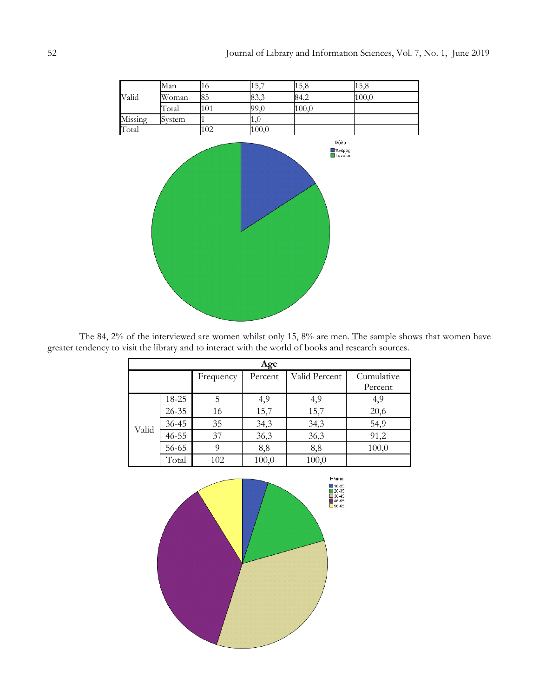

The 84, 2% of the interviewed are women whilst only 15, 8% are men. The sample shows that women have greater tendency to visit the library and to interact with the world of books and research sources.

| Age   |           |           |         |               |            |  |  |  |  |  |
|-------|-----------|-----------|---------|---------------|------------|--|--|--|--|--|
|       |           | Frequency | Percent | Valid Percent | Cumulative |  |  |  |  |  |
|       |           |           |         |               | Percent    |  |  |  |  |  |
|       | 18-25     | 5         | 4,9     | 4,9           | 4,9        |  |  |  |  |  |
|       | $26 - 35$ | 16        | 15,7    | 15,7          | 20,6       |  |  |  |  |  |
| Valid | $36 - 45$ | 35        | 34,3    | 34,3          | 54,9       |  |  |  |  |  |
|       | $46 - 55$ | 37        | 36,3    | 36,3          | 91,2       |  |  |  |  |  |
|       | 56-65     | 9         | 8,8     | 8,8           | 100,0      |  |  |  |  |  |
|       | Total     | 102       | 100,0   | 100,0         |            |  |  |  |  |  |

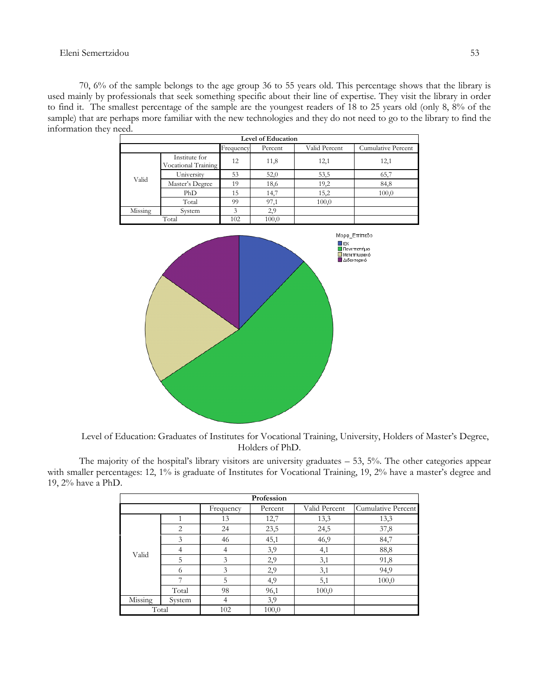#### Eleni Semertzidou 53

70, 6% of the sample belongs to the age group 36 to 55 years old. This percentage shows that the library is used mainly by professionals that seek something specific about their line of expertise. They visit the library in order to find it. The smallest percentage of the sample are the youngest readers of 18 to 25 years old (only 8, 8% of the sample) that are perhaps more familiar with the new technologies and they do not need to go to the library to find the information they need.

| <b>Level of Education</b>                                          |                                      |     |       |       |       |  |  |  |
|--------------------------------------------------------------------|--------------------------------------|-----|-------|-------|-------|--|--|--|
| Frequency<br>Valid Percent<br><b>Cumulative Percent</b><br>Percent |                                      |     |       |       |       |  |  |  |
|                                                                    | Institute for<br>Vocational Training | 12  | 11,8  | 12,1  | 12,1  |  |  |  |
|                                                                    | University                           | 53  | 52,0  | 53,5  | 65,7  |  |  |  |
| Valid                                                              | Master's Degree                      | 19  | 18,6  | 19,2  | 84,8  |  |  |  |
|                                                                    | PhD                                  | 15  | 14,7  | 15,2  | 100,0 |  |  |  |
|                                                                    | Total                                | 99  | 97,1  | 100,0 |       |  |  |  |
| Missing<br>System                                                  |                                      | 3   | 2.9   |       |       |  |  |  |
| Total                                                              |                                      | 102 | 100,0 |       |       |  |  |  |



Level of Education: Graduates of Institutes for Vocational Training, University, Holders of Master's Degree, Holders of PhD.

The majority of the hospital's library visitors are university graduates – 53, 5%. The other categories appear with smaller percentages: 12, 1% is graduate of Institutes for Vocational Training, 19, 2% have a master's degree and 19, 2% have a PhD.

|         | Profession |           |         |               |                    |  |  |  |  |  |
|---------|------------|-----------|---------|---------------|--------------------|--|--|--|--|--|
|         |            | Frequency | Percent | Valid Percent | Cumulative Percent |  |  |  |  |  |
|         | 1          | 13        | 12,7    | 13,3          | 13,3               |  |  |  |  |  |
|         | 2          | 24        | 23,5    | 24,5          | 37,8               |  |  |  |  |  |
|         | 3          | 46        | 45,1    | 46,9          | 84,7               |  |  |  |  |  |
| Valid   | 4          | 4         | 3,9     | 4,1           | 88,8               |  |  |  |  |  |
|         | 5          | 3         | 2,9     | 3,1           | 91,8               |  |  |  |  |  |
|         | 6          | 3         | 2,9     | 3,1           | 94,9               |  |  |  |  |  |
|         | ⇁          | 5         | 4,9     | 5,1           | 100,0              |  |  |  |  |  |
|         | Total      | 98        | 96,1    | 100,0         |                    |  |  |  |  |  |
| Missing | System     | 4         | 3,9     |               |                    |  |  |  |  |  |
| Total   |            | 102       | 100,0   |               |                    |  |  |  |  |  |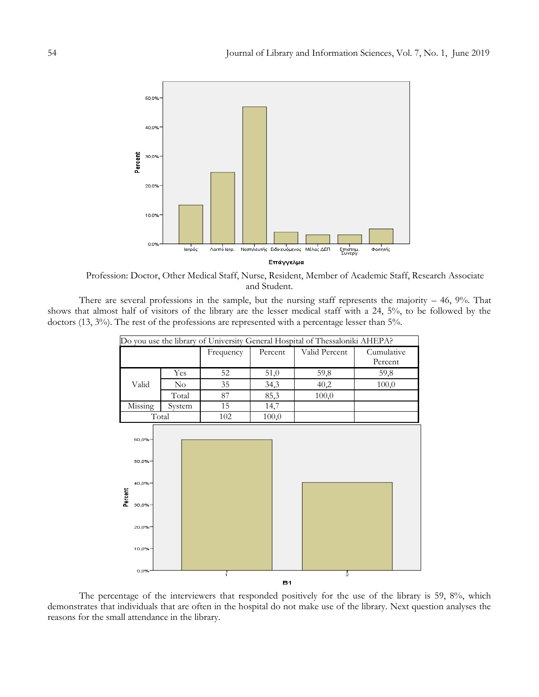

Profession: Doctor, Other Medical Staff, Nurse, Resident, Member of Academic Staff, Research Associate and Student.

There are several professions in the sample, but the nursing staff represents the majority  $-46$ ,  $9\%$ . That shows that almost half of visitors of the library are the lesser medical staff with a 24, 5%, to be followed by the doctors (13, 3%). The rest of the professions are represented with a percentage lesser than 5%.



The percentage of the interviewers that responded positively for the use of the library is 59, 8%, which demonstrates that individuals that are often in the hospital do not make use of the library. Next question analyses the reasons for the small attendance in the library.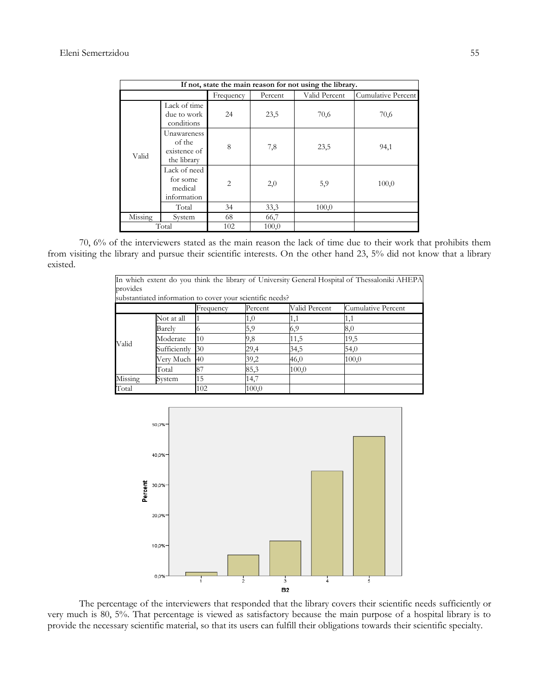|                                                             | If not, state the main reason for not using the library. |                |       |       |       |  |  |  |
|-------------------------------------------------------------|----------------------------------------------------------|----------------|-------|-------|-------|--|--|--|
| Valid Percent<br>Cumulative Percent<br>Percent<br>Frequency |                                                          |                |       |       |       |  |  |  |
|                                                             | Lack of time<br>due to work<br>conditions                | 24             | 23,5  | 70,6  | 70,6  |  |  |  |
| Valid                                                       | Unawareness<br>of the<br>existence of<br>the library     | 8              | 7,8   | 23,5  | 94,1  |  |  |  |
|                                                             | Lack of need<br>for some<br>medical<br>information       | $\overline{2}$ | 2,0   | 5,9   | 100,0 |  |  |  |
|                                                             | Total                                                    | 34             | 33,3  | 100,0 |       |  |  |  |
| Missing                                                     | System                                                   | 68             | 66,7  |       |       |  |  |  |
|                                                             | Total                                                    | 102            | 100,0 |       |       |  |  |  |

70, 6% of the interviewers stated as the main reason the lack of time due to their work that prohibits them from visiting the library and pursue their scientific interests. On the other hand 23, 5% did not know that a library existed.

| In which extent do you think the library of University General Hospital of Thessaloniki AHEPA |                                                             |           |       |       |       |  |  |  |  |  |
|-----------------------------------------------------------------------------------------------|-------------------------------------------------------------|-----------|-------|-------|-------|--|--|--|--|--|
| provides                                                                                      |                                                             |           |       |       |       |  |  |  |  |  |
| substantiated information to cover your scientific needs?                                     |                                                             |           |       |       |       |  |  |  |  |  |
|                                                                                               | Valid Percent<br>Cumulative Percent<br>Frequency<br>Percent |           |       |       |       |  |  |  |  |  |
|                                                                                               | Not at all                                                  |           | 1,0   | 1,1   | 1,1   |  |  |  |  |  |
|                                                                                               | Barelv                                                      |           | 5,9   | 6,9   | 8,0   |  |  |  |  |  |
|                                                                                               | Moderate                                                    | 10        | 9,8   | 11,5  | 19,5  |  |  |  |  |  |
| Valid                                                                                         | Sufficiently                                                | 30        | 29,4  | 34,5  | 54,0  |  |  |  |  |  |
|                                                                                               | Very Much                                                   | <b>40</b> | 39,2  | 46,0  | 100,0 |  |  |  |  |  |
|                                                                                               | Total                                                       | 87        | 85,3  | 100,0 |       |  |  |  |  |  |
| Missing                                                                                       | System                                                      | 15        | 14,7  |       |       |  |  |  |  |  |
| Total                                                                                         |                                                             | 102       | 100,0 |       |       |  |  |  |  |  |



The percentage of the interviewers that responded that the library covers their scientific needs sufficiently or very much is 80, 5%. That percentage is viewed as satisfactory because the main purpose of a hospital library is to provide the necessary scientific material, so that its users can fulfill their obligations towards their scientific specialty.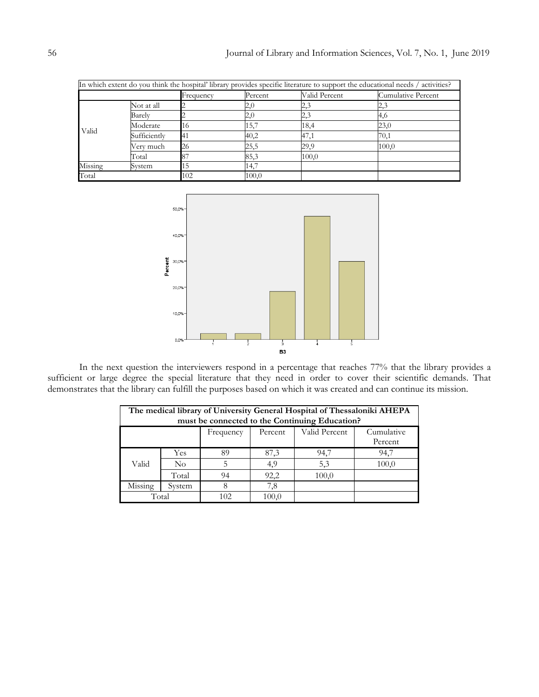|         | In which extent do you think the hospital' library provides specific literature to support the educational needs / activities? |           |         |               |                    |  |  |  |
|---------|--------------------------------------------------------------------------------------------------------------------------------|-----------|---------|---------------|--------------------|--|--|--|
|         |                                                                                                                                | Frequency | Percent | Valid Percent | Cumulative Percent |  |  |  |
|         | Not at all                                                                                                                     |           | 2,0     | 2,3           | 2,3                |  |  |  |
|         | Barely                                                                                                                         |           | 2,0     | 2,3           | 4,6                |  |  |  |
| Valid   | Moderate                                                                                                                       | 16        | 15,7    | 18,4          | 23,0               |  |  |  |
|         | Sufficiently                                                                                                                   | 141       | 40,2    | 47,1          | 70,1               |  |  |  |
|         | Very much                                                                                                                      | 26        | 25,5    | 29,9          | 100,0              |  |  |  |
|         | Total                                                                                                                          |           | 85,3    | 100,0         |                    |  |  |  |
| Missing | System                                                                                                                         |           | 14,7    |               |                    |  |  |  |
| Total   |                                                                                                                                | 102       | 100.0   |               |                    |  |  |  |



In the next question the interviewers respond in a percentage that reaches 77% that the library provides a sufficient or large degree the special literature that they need in order to cover their scientific demands. That demonstrates that the library can fulfill the purposes based on which it was created and can continue its mission.

| The medical library of University General Hospital of Thessaloniki AHEPA<br>must be connected to the Continuing Education? |        |     |       |       |       |  |  |  |
|----------------------------------------------------------------------------------------------------------------------------|--------|-----|-------|-------|-------|--|--|--|
| Valid Percent<br>Cumulative<br>Percent<br>Frequency<br>Percent                                                             |        |     |       |       |       |  |  |  |
|                                                                                                                            | Yes    | 89  | 87,3  | 94,7  | 94,7  |  |  |  |
| Valid                                                                                                                      | No     | 5   | 4,9   | 5,3   | 100,0 |  |  |  |
|                                                                                                                            | Total  | 94  | 92,2  | 100,0 |       |  |  |  |
| Missing                                                                                                                    | System |     | 7,8   |       |       |  |  |  |
| Total                                                                                                                      |        | 102 | 100.0 |       |       |  |  |  |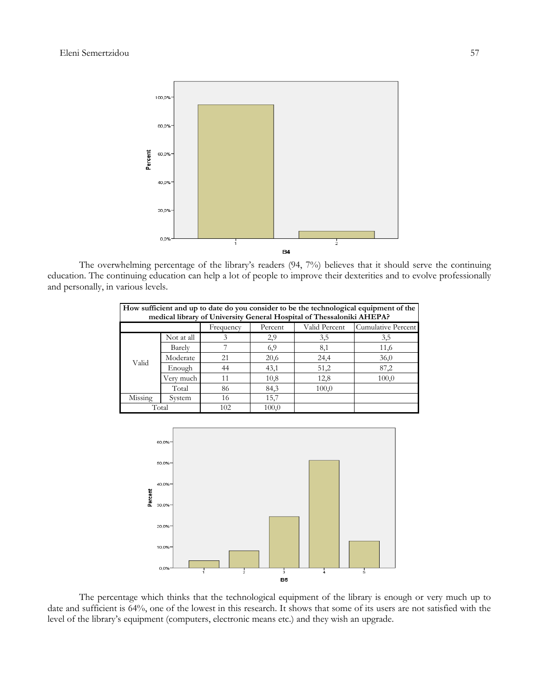

The overwhelming percentage of the library's readers (94, 7%) believes that it should serve the continuing education. The continuing education can help a lot of people to improve their dexterities and to evolve professionally and personally, in various levels.

| How sufficient and up to date do you consider to be the technological equipment of the<br>medical library of University General Hospital of Thessaloniki AHEPA? |            |           |         |               |                    |  |  |  |
|-----------------------------------------------------------------------------------------------------------------------------------------------------------------|------------|-----------|---------|---------------|--------------------|--|--|--|
|                                                                                                                                                                 |            | Frequency | Percent | Valid Percent | Cumulative Percent |  |  |  |
|                                                                                                                                                                 | Not at all | 3         | 2,9     | 3,5           | 3,5                |  |  |  |
|                                                                                                                                                                 | Barely     |           | 6,9     | 8,1           | 11,6               |  |  |  |
| Valid                                                                                                                                                           | Moderate   | 21        | 20,6    | 24,4          | 36,0               |  |  |  |
|                                                                                                                                                                 | Enough     | 44        | 43,1    | 51,2          | 87,2               |  |  |  |
|                                                                                                                                                                 | Verv much  | 11        | 10,8    | 12,8          | 100,0              |  |  |  |
|                                                                                                                                                                 | Total      | 86        | 84,3    | 100,0         |                    |  |  |  |
| Missing                                                                                                                                                         | System     | 16        | 15,7    |               |                    |  |  |  |
| Total                                                                                                                                                           |            | 102       | 100,0   |               |                    |  |  |  |



The percentage which thinks that the technological equipment of the library is enough or very much up to date and sufficient is 64%, one of the lowest in this research. It shows that some of its users are not satisfied with the level of the library's equipment (computers, electronic means etc.) and they wish an upgrade.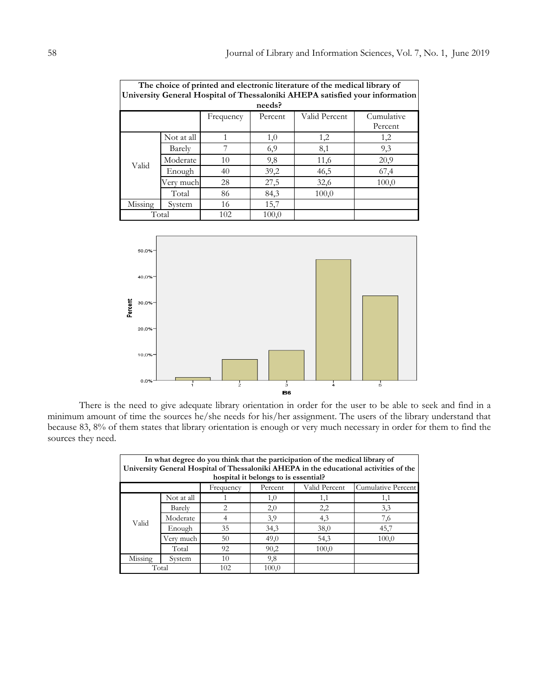| The choice of printed and electronic literature of the medical library of |                                                                              |           |         |               |            |  |  |  |  |
|---------------------------------------------------------------------------|------------------------------------------------------------------------------|-----------|---------|---------------|------------|--|--|--|--|
|                                                                           | University General Hospital of Thessaloniki AHEPA satisfied your information |           |         |               |            |  |  |  |  |
| needs?                                                                    |                                                                              |           |         |               |            |  |  |  |  |
|                                                                           |                                                                              | Frequency | Percent | Valid Percent | Cumulative |  |  |  |  |
|                                                                           |                                                                              |           |         |               | Percent    |  |  |  |  |
|                                                                           | Not at all                                                                   |           | 1,0     | 1,2           | 1,2        |  |  |  |  |
|                                                                           | Barely                                                                       | 7         | 6,9     | 8,1           | 9,3        |  |  |  |  |
| Valid                                                                     | Moderate                                                                     | 10        | 9,8     | 11,6          | 20,9       |  |  |  |  |
|                                                                           | Enough                                                                       | 40        | 39,2    | 46,5          | 67,4       |  |  |  |  |
|                                                                           | Very much                                                                    | 28        | 27,5    | 32,6          | 100,0      |  |  |  |  |
|                                                                           | Total                                                                        | 86        | 84,3    | 100,0         |            |  |  |  |  |
| Missing                                                                   | System                                                                       | 16        | 15,7    |               |            |  |  |  |  |
|                                                                           | Total                                                                        | 102       | 100,0   |               |            |  |  |  |  |



There is the need to give adequate library orientation in order for the user to be able to seek and find in a minimum amount of time the sources he/she needs for his/her assignment. The users of the library understand that because 83, 8% of them states that library orientation is enough or very much necessary in order for them to find the sources they need.

| In what degree do you think that the participation of the medical library of<br>University General Hospital of Thessaloniki AHEPA in the educational activities of the<br>hospital it belongs to is essential? |            |                               |         |               |                    |  |  |  |  |
|----------------------------------------------------------------------------------------------------------------------------------------------------------------------------------------------------------------|------------|-------------------------------|---------|---------------|--------------------|--|--|--|--|
|                                                                                                                                                                                                                |            | Frequency                     | Percent | Valid Percent | Cumulative Percent |  |  |  |  |
|                                                                                                                                                                                                                | Not at all |                               | 1,0     | 1,1           | 1,1                |  |  |  |  |
|                                                                                                                                                                                                                | Barely     | $\mathfrak{D}_{\mathfrak{p}}$ | 2,0     | 2,2           | 3,3                |  |  |  |  |
| Valid                                                                                                                                                                                                          | Moderate   | 4                             | 3,9     | 4,3           | 7,6                |  |  |  |  |
|                                                                                                                                                                                                                | Enough     | 35                            | 34,3    | 38,0          | 45,7               |  |  |  |  |
|                                                                                                                                                                                                                | Very much  | 50                            | 49,0    | 54,3          | 100,0              |  |  |  |  |
|                                                                                                                                                                                                                | Total      | 92                            | 90,2    | 100,0         |                    |  |  |  |  |
| Missing                                                                                                                                                                                                        | System     | 10                            | 9,8     |               |                    |  |  |  |  |
|                                                                                                                                                                                                                | Total      | 102                           | 100,0   |               |                    |  |  |  |  |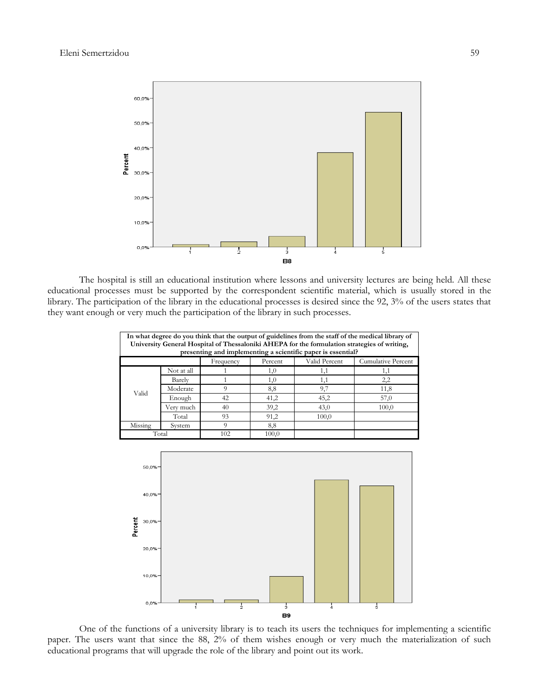

The hospital is still an educational institution where lessons and university lectures are being held. All these educational processes must be supported by the correspondent scientific material, which is usually stored in the library. The participation of the library in the educational processes is desired since the 92, 3% of the users states that they want enough or very much the participation of the library in such processes.

| In what degree do you think that the output of guidelines from the staff of the medical library of<br>University General Hospital of Thessaloniki AHEPA for the formulation strategies of writing,<br>presenting and implementing a scientific paper is essential? |            |     |       |       |       |  |  |  |  |
|--------------------------------------------------------------------------------------------------------------------------------------------------------------------------------------------------------------------------------------------------------------------|------------|-----|-------|-------|-------|--|--|--|--|
| Valid Percent<br>Cumulative Percent<br>Percent<br>Frequency                                                                                                                                                                                                        |            |     |       |       |       |  |  |  |  |
|                                                                                                                                                                                                                                                                    | Not at all |     | 1,0   | 1,1   | 1,1   |  |  |  |  |
|                                                                                                                                                                                                                                                                    | Barely     |     | 1,0   | 1,1   | 2,2   |  |  |  |  |
| Valid                                                                                                                                                                                                                                                              | Moderate   | 9   | 8,8   | 9,7   | 11,8  |  |  |  |  |
|                                                                                                                                                                                                                                                                    | Enough     | 42  | 41,2  | 45,2  | 57,0  |  |  |  |  |
|                                                                                                                                                                                                                                                                    | Very much  | 40  | 39,2  | 43,0  | 100,0 |  |  |  |  |
|                                                                                                                                                                                                                                                                    | Total      | 93  | 91,2  | 100,0 |       |  |  |  |  |
| Missing                                                                                                                                                                                                                                                            | System     | 0   | 8,8   |       |       |  |  |  |  |
| Total                                                                                                                                                                                                                                                              |            | 102 | 100,0 |       |       |  |  |  |  |



One of the functions of a university library is to teach its users the techniques for implementing a scientific paper. The users want that since the 88, 2% of them wishes enough or very much the materialization of such educational programs that will upgrade the role of the library and point out its work.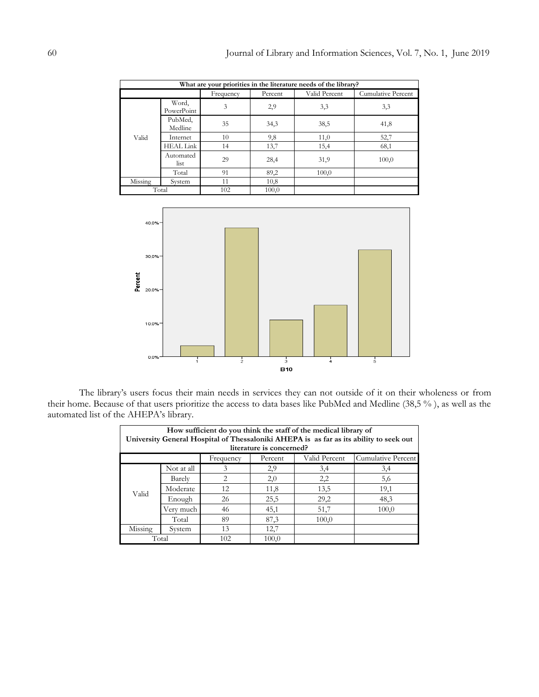| What are your priorities in the literature needs of the library? |                     |           |         |               |                    |  |
|------------------------------------------------------------------|---------------------|-----------|---------|---------------|--------------------|--|
|                                                                  |                     | Frequency | Percent | Valid Percent | Cumulative Percent |  |
| Valid                                                            | Word,<br>PowerPoint | 3         | 2,9     | 3,3           | 3,3                |  |
|                                                                  | PubMed,<br>Medline  | 35        | 34,3    | 38,5          | 41,8               |  |
|                                                                  | Internet            | 10        | 9,8     | 11,0          | 52,7               |  |
|                                                                  | <b>HEAL Link</b>    | 14        | 13,7    | 15,4          | 68,1               |  |
|                                                                  | Automated<br>list   | 29        | 28,4    | 31,9          | 100,0              |  |
|                                                                  | Total               | 91        | 89,2    | 100,0         |                    |  |
| Missing                                                          | System              | 11        | 10,8    |               |                    |  |
| Total                                                            |                     | 102       | 100,0   |               |                    |  |



The library's users focus their main needs in services they can not outside of it on their wholeness or from their home. Because of that users prioritize the access to data bases like PubMed and Medline (38,5 % ), as well as the automated list of the AHEPA's library.

| How sufficient do you think the staff of the medical library of<br>University General Hospital of Thessaloniki AHEPA is as far as its ability to seek out<br>literature is concerned? |            |           |         |               |                    |  |
|---------------------------------------------------------------------------------------------------------------------------------------------------------------------------------------|------------|-----------|---------|---------------|--------------------|--|
|                                                                                                                                                                                       |            | Frequency | Percent | Valid Percent | Cumulative Percent |  |
| Valid                                                                                                                                                                                 | Not at all | 3         | 2,9     | 3,4           | 3,4                |  |
|                                                                                                                                                                                       | Barely     | 2         | 2,0     | 2,2           | 5,6                |  |
|                                                                                                                                                                                       | Moderate   | 12        | 11,8    | 13,5          | 19,1               |  |
|                                                                                                                                                                                       | Enough     | 26        | 25,5    | 29,2          | 48,3               |  |
|                                                                                                                                                                                       | Very much  | 46        | 45,1    | 51,7          | 100,0              |  |
|                                                                                                                                                                                       | Total      | 89        | 87,3    | 100,0         |                    |  |
| Missing                                                                                                                                                                               | System     | 13        | 12,7    |               |                    |  |
| Total                                                                                                                                                                                 |            | 102       | 100,0   |               |                    |  |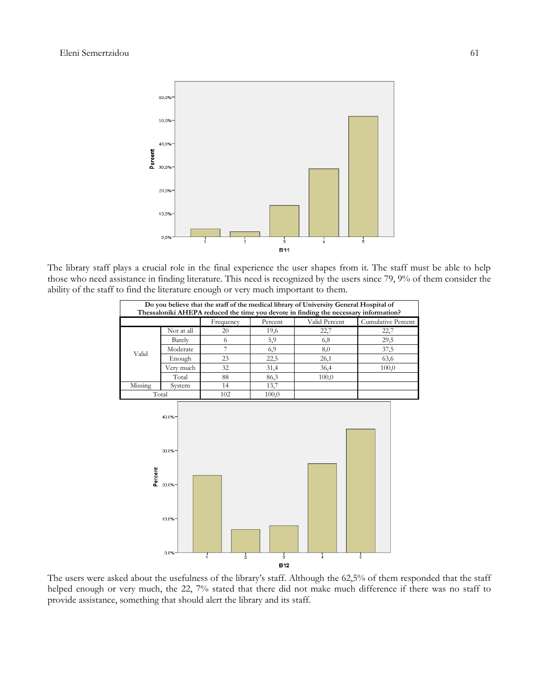

The library staff plays a crucial role in the final experience the user shapes from it. The staff must be able to help those who need assistance in finding literature. This need is recognized by the users since 79, 9% of them consider the ability of the staff to find the literature enough or very much important to them.

| Do you believe that the staff of the medical library of University General Hospital of<br>Thessaloniki AHEPA reduced the time you devote in finding the necessary information? |                                           |                  |               |               |                           |
|--------------------------------------------------------------------------------------------------------------------------------------------------------------------------------|-------------------------------------------|------------------|---------------|---------------|---------------------------|
|                                                                                                                                                                                |                                           | Frequency        | Percent       | Valid Percent | <b>Cumulative Percent</b> |
|                                                                                                                                                                                | Not at all                                | 20               | 19,6          | 22,7          | 22,7                      |
| Valid                                                                                                                                                                          | Barely                                    | 6                | 5,9           | 6,8           | 29,5                      |
|                                                                                                                                                                                | Moderate                                  | $\overline{7}$   | 6,9           | 8,0           | 37,5                      |
|                                                                                                                                                                                | Enough                                    | 23               | 22,5          | 26,1          | 63,6                      |
|                                                                                                                                                                                | Very much                                 | 32               | 31,4          | 36,4          | 100,0                     |
|                                                                                                                                                                                | Total                                     | 88               | 86,3          | 100,0         |                           |
| Missing                                                                                                                                                                        | System                                    | 14               | 13,7          |               |                           |
|                                                                                                                                                                                | Total                                     | 102              | 100,0         |               |                           |
| Percent                                                                                                                                                                        | 40,0%=<br>30,0%<br>20,0%<br>10,0%<br>0,0% | $rac{1}{2}$<br>i | $\frac{1}{3}$ | $\frac{1}{4}$ | 5                         |
|                                                                                                                                                                                |                                           |                  |               |               |                           |
|                                                                                                                                                                                |                                           |                  | <b>B12</b>    |               |                           |

The users were asked about the usefulness of the library's staff. Although the 62,5% of them responded that the staff helped enough or very much, the 22, 7% stated that there did not make much difference if there was no staff to provide assistance, something that should alert the library and its staff.